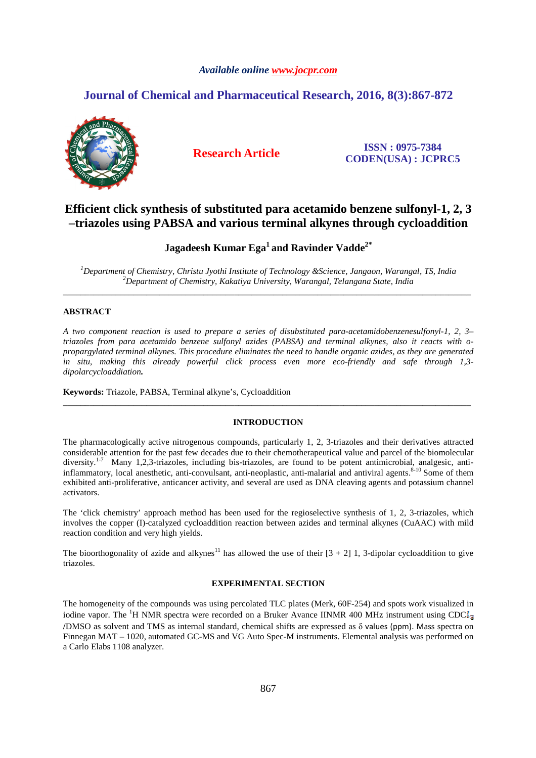# *Available online www.jocpr.com*

# **Journal of Chemical and Pharmaceutical Research, 2016, 8(3):867-872**



**Research Article ISSN : 0975-7384 CODEN(USA) : JCPRC5**

# **Efficient click synthesis of substituted para acetamido benzene sulfonyl-1, 2, 3 –triazoles using PABSA and various terminal alkynes through cycloaddition**

# **Jagadeesh Kumar Ega<sup>1</sup>and Ravinder Vadde2\***

*<sup>1</sup>Department of Chemistry, Christu Jyothi Institute of Technology &Science, Jangaon, Warangal, TS, India <sup>2</sup>Department of Chemistry, Kakatiya University, Warangal, Telangana State, India*  \_\_\_\_\_\_\_\_\_\_\_\_\_\_\_\_\_\_\_\_\_\_\_\_\_\_\_\_\_\_\_\_\_\_\_\_\_\_\_\_\_\_\_\_\_\_\_\_\_\_\_\_\_\_\_\_\_\_\_\_\_\_\_\_\_\_\_\_\_\_\_\_\_\_\_\_\_\_\_\_\_\_\_\_\_\_\_\_\_\_\_\_\_

# **ABSTRACT**

*A two component reaction is used to prepare a series of disubstituted para-acetamidobenzenesulfonyl-1, 2, 3– triazoles from para acetamido benzene sulfonyl azides (PABSA) and terminal alkynes, also it reacts with opropargylated terminal alkynes. This procedure eliminates the need to handle organic azides, as they are generated in situ, making this already powerful click process even more eco-friendly and safe through 1,3 dipolarcycloaddiation.* 

**Keywords:** Triazole, PABSA, Terminal alkyne's, Cycloaddition

# **INTRODUCTION**

\_\_\_\_\_\_\_\_\_\_\_\_\_\_\_\_\_\_\_\_\_\_\_\_\_\_\_\_\_\_\_\_\_\_\_\_\_\_\_\_\_\_\_\_\_\_\_\_\_\_\_\_\_\_\_\_\_\_\_\_\_\_\_\_\_\_\_\_\_\_\_\_\_\_\_\_\_\_\_\_\_\_\_\_\_\_\_\_\_\_\_\_\_

The pharmacologically active nitrogenous compounds, particularly 1, 2, 3-triazoles and their derivatives attracted considerable attention for the past few decades due to their chemotherapeutical value and parcel of the biomolecular diversity.<sup>1-7</sup> Many 1,2,3-triazoles, including bis-triazoles, are found to be potent antimicrobial, analgesic, antiinflammatory, local anesthetic, anti-convulsant, anti-neoplastic, anti-malarial and antiviral agents.<sup>8-10</sup> Some of them exhibited anti-proliferative, anticancer activity, and several are used as DNA cleaving agents and potassium channel activators.

The 'click chemistry' approach method has been used for the regioselective synthesis of 1, 2, 3-triazoles, which involves the copper (I)-catalyzed cycloaddition reaction between azides and terminal alkynes (CuAAC) with mild reaction condition and very high yields.

The bioorthogonality of azide and alkynes<sup>11</sup> has allowed the use of their  $[3 + 2]$  1, 3-dipolar cycloaddition to give triazoles.

## **EXPERIMENTAL SECTION**

The homogeneity of the compounds was using percolated TLC plates (Merk, 60F-254) and spots work visualized in iodine vapor. The <sup>1</sup>H NMR spectra were recorded on a Bruker Avance IINMR 400 MHz instrument using CDC $l<sub>3</sub>$ **/**DMSO as solvent and TMS as internal standard, chemical shifts are expressed as δ values (ppm). Mass spectra on Finnegan MAT – 1020, automated GC-MS and VG Auto Spec-M instruments. Elemental analysis was performed on a Carlo Elabs 1108 analyzer.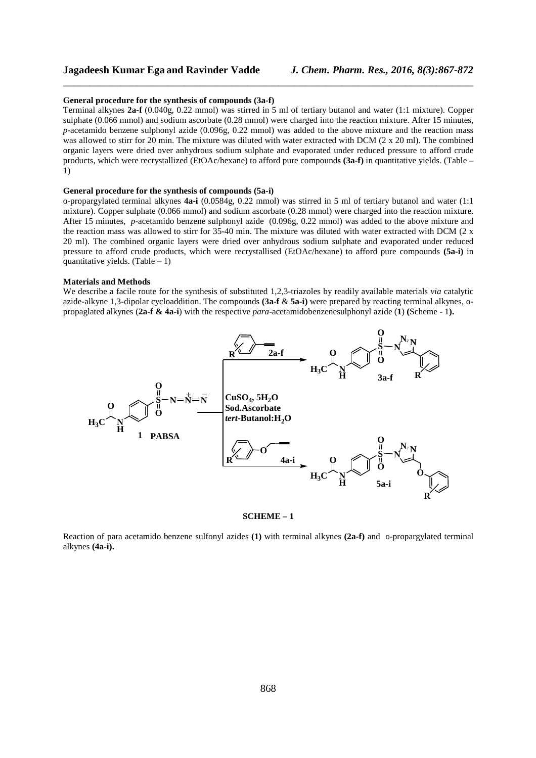# **Jagadeesh Kumar Ega and Ravinder Vadde** *J. Chem. Pharm. Res., 2016, 8(3):867-872*

#### **General procedure for the synthesis of compounds (3a-f)**

Terminal alkynes **2a-f** (0.040g, 0.22 mmol) was stirred in 5 ml of tertiary butanol and water (1:1 mixture). Copper sulphate (0.066 mmol) and sodium ascorbate (0.28 mmol) were charged into the reaction mixture. After 15 minutes, *p*-acetamido benzene sulphonyl azide (0.096g, 0.22 mmol) was added to the above mixture and the reaction mass was allowed to stirr for 20 min. The mixture was diluted with water extracted with DCM (2 x 20 ml). The combined organic layers were dried over anhydrous sodium sulphate and evaporated under reduced pressure to afford crude products, which were recrystallized (EtOAc/hexane) to afford pure compound**s (3a-f)** in quantitative yields. (Table – 1)

\_\_\_\_\_\_\_\_\_\_\_\_\_\_\_\_\_\_\_\_\_\_\_\_\_\_\_\_\_\_\_\_\_\_\_\_\_\_\_\_\_\_\_\_\_\_\_\_\_\_\_\_\_\_\_\_\_\_\_\_\_\_\_\_\_\_\_\_\_\_\_\_\_\_\_\_\_\_

### **General procedure for the synthesis of compounds (5a-i)**

o-propargylated terminal alkynes **4a-i** (0.0584g, 0.22 mmol) was stirred in 5 ml of tertiary butanol and water (1:1 mixture). Copper sulphate (0.066 mmol) and sodium ascorbate (0.28 mmol) were charged into the reaction mixture. After 15 minutes, *p*-acetamido benzene sulphonyl azide (0.096g, 0.22 mmol) was added to the above mixture and the reaction mass was allowed to stirr for 35-40 min. The mixture was diluted with water extracted with DCM (2 x 20 ml). The combined organic layers were dried over anhydrous sodium sulphate and evaporated under reduced pressure to afford crude products, which were recrystallised (EtOAc/hexane) to afford pure compounds **(5a-i)** in quantitative yields.  $(Table - 1)$ 

#### **Materials and Methods**

We describe a facile route for the synthesis of substituted 1,2,3-triazoles by readily available materials *via* catalytic azide-alkyne 1,3-dipolar cycloaddition. The compounds **(3a-f** & **5a-i)** were prepared by reacting terminal alkynes, opropaglated alkynes (**2a-f & 4a-i**) with the respective *para*-acetamidobenzenesulphonyl azide (**1**) **(**Scheme - 1**).**



#### **SCHEME – 1**

Reaction of para acetamido benzene sulfonyl azides **(1)** with terminal alkynes **(2a-f)** and o-propargylated terminal alkynes **(4a-i).**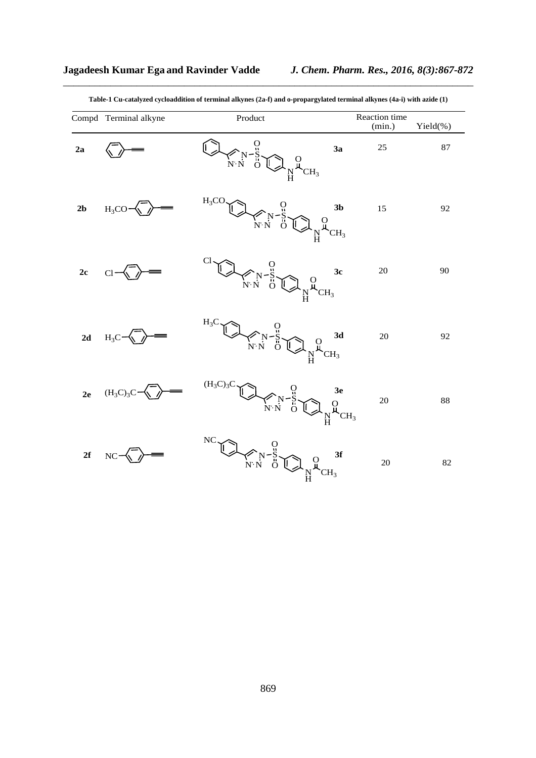|                | Compd Terminal alkyne | Product                                                                                                                                                                                                                                                                                                                                                                                                                                                 | Reaction time<br>(min.) | Yield(%) |
|----------------|-----------------------|---------------------------------------------------------------------------------------------------------------------------------------------------------------------------------------------------------------------------------------------------------------------------------------------------------------------------------------------------------------------------------------------------------------------------------------------------------|-------------------------|----------|
| 2a             |                       | $\begin{picture}(180,170) \put(0,0){\line(1,0){150}} \put(15,0){\line(1,0){150}} \put(15,0){\line(1,0){150}} \put(15,0){\line(1,0){150}} \put(15,0){\line(1,0){150}} \put(15,0){\line(1,0){150}} \put(15,0){\line(1,0){150}} \put(15,0){\line(1,0){150}} \put(15,0){\line(1,0){150}} \put(15,0){\line(1,0){150}} \put(15,0){\line(1,0){150$<br>3a                                                                                                       | 25                      | 87       |
| 2 <sub>b</sub> | $H_3CO-$              | $H_3CO$<br>$\begin{picture}(180,170) \put(0,0){\line(1,0){150}} \put(0,0){\line(1,0){150}} \put(0,0){\line(1,0){150}} \put(0,0){\line(1,0){150}} \put(0,0){\line(1,0){150}} \put(0,0){\line(1,0){150}} \put(0,0){\line(1,0){150}} \put(0,0){\line(1,0){150}} \put(0,0){\line(1,0){150}} \put(0,0){\line(1,0){150}} \put(0,0){\line(1,0){150}} \put(0,0){\line$<br>3 <sub>b</sub><br>$\mathop{\mathbb{N}}\limits^{\text{O}}_{\mathcal{H}_{\text{CH}_3}}$ | 15                      | 92       |
| 2c             | Cl                    | $\begin{picture}(180,10) \put(0,0){\line(1,0){155}} \put(10,0){\line(1,0){155}} \put(10,0){\line(1,0){155}} \put(10,0){\line(1,0){155}} \put(10,0){\line(1,0){155}} \put(10,0){\line(1,0){155}} \put(10,0){\line(1,0){155}} \put(10,0){\line(1,0){155}} \put(10,0){\line(1,0){155}} \put(10,0){\line(1,0){155}} \put(10,0){\line(1,0){155}}$<br>3c                                                                                                      | 20                      | 90       |
| 2d             | $H_3C$                | $H_3C$<br>$\begin{picture}(120,15) \put(0,0){\line(1,0){15}} \put(15,0){\line(1,0){15}} \put(15,0){\line(1,0){15}} \put(15,0){\line(1,0){15}} \put(15,0){\line(1,0){15}} \put(15,0){\line(1,0){15}} \put(15,0){\line(1,0){15}} \put(15,0){\line(1,0){15}} \put(15,0){\line(1,0){15}} \put(15,0){\line(1,0){15}} \put(15,0){\line(1,0){15}} \put(15,0){\line($                                                                                           | 20                      | 92       |
| 2e             | $(H_3C)_3C$           | $(H_3C)_3C$<br>$\begin{picture}(180,10) \put(0,0){\line(1,0){155}} \put(15,0){\line(1,0){155}} \put(15,0){\line(1,0){155}} \put(15,0){\line(1,0){155}} \put(15,0){\line(1,0){155}} \put(15,0){\line(1,0){155}} \put(15,0){\line(1,0){155}} \put(15,0){\line(1,0){155}} \put(15,0){\line(1,0){155}} \put(15,0){\line(1,0){155}} \put(15,0){\line(1,0){155}}$                                                                                             | 20                      | 88       |
| 2f             | NC                    | NC<br>$\begin{picture}(180,170) \put(0,0){\line(1,0){150}} \put(15,0){\line(1,0){150}} \put(15,0){\line(1,0){150}} \put(15,0){\line(1,0){150}} \put(15,0){\line(1,0){150}} \put(15,0){\line(1,0){150}} \put(15,0){\line(1,0){150}} \put(15,0){\line(1,0){150}} \put(15,0){\line(1,0){150}} \put(15,0){\line(1,0){150}} \put(15,0){\line(1,0){150$<br>3f                                                                                                 | 20                      | 82       |

\_\_\_\_\_\_\_\_\_\_\_\_\_\_\_\_\_\_\_\_\_\_\_\_\_\_\_\_\_\_\_\_\_\_\_\_\_\_\_\_\_\_\_\_\_\_\_\_\_\_\_\_\_\_\_\_\_\_\_\_\_\_\_\_\_\_\_\_\_\_\_\_\_\_\_\_\_\_ **Table-1 Cu-catalyzed cycloaddition of terminal alkynes (2a-f) and o-propargylated terminal alkynes (4a-i) with azide (1)**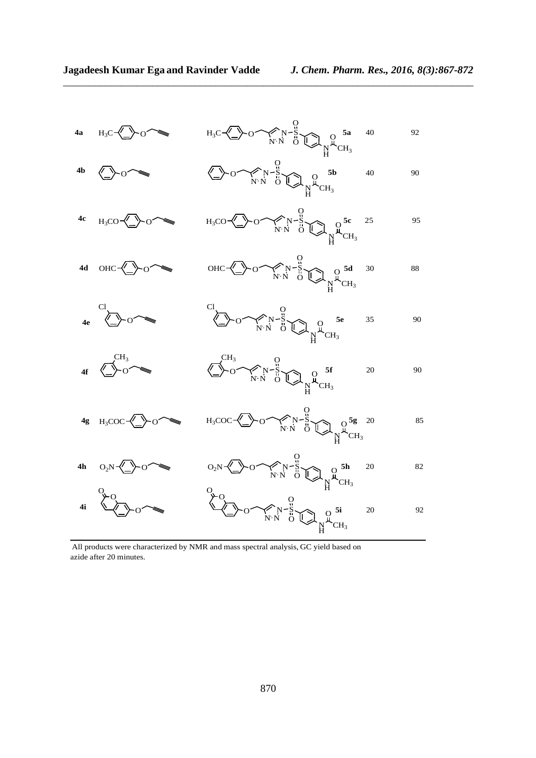

\_\_\_\_\_\_\_\_\_\_\_\_\_\_\_\_\_\_\_\_\_\_\_\_\_\_\_\_\_\_\_\_\_\_\_\_\_\_\_\_\_\_\_\_\_\_\_\_\_\_\_\_\_\_\_\_\_\_\_\_\_\_\_\_\_\_\_\_\_\_\_\_\_\_\_\_\_\_

All products were characterized by NMR and mass spectral analysis, GC yield based on azide after 20 minutes.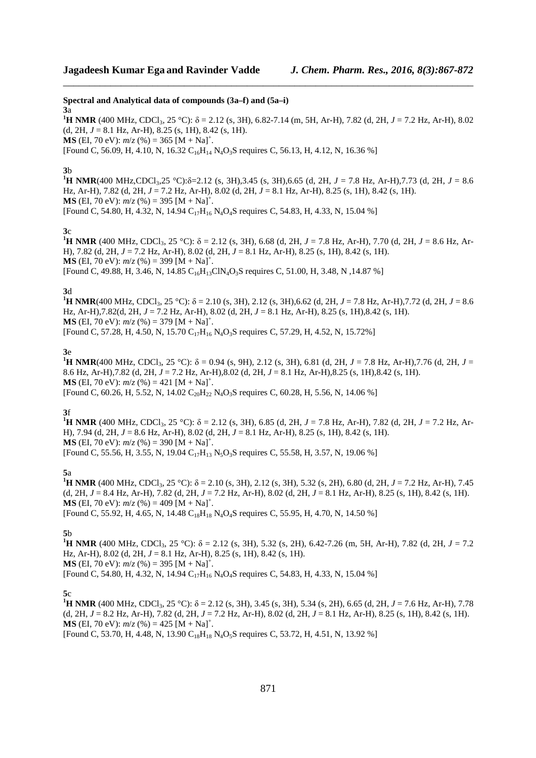**Spectral and Analytical data of compounds (3a–f) and (5a–i) 3**a

<sup>1</sup>**H NMR** (400 MHz, CDCl<sub>3</sub>, 25 °C): δ = 2.12 (s, 3H), 6.82-7.14 (m, 5H, Ar-H), 7.82 (d, 2H, *J* = 7.2 Hz, Ar-H), 8.02 (d, 2H,  $J = 8.1$  Hz, Ar-H),  $8.25$  (s, 1H),  $8.42$  (s, 1H). **MS** (EI, 70 eV):  $m/z$  (%) = 365 [M + Na]<sup>+</sup>.

\_\_\_\_\_\_\_\_\_\_\_\_\_\_\_\_\_\_\_\_\_\_\_\_\_\_\_\_\_\_\_\_\_\_\_\_\_\_\_\_\_\_\_\_\_\_\_\_\_\_\_\_\_\_\_\_\_\_\_\_\_\_\_\_\_\_\_\_\_\_\_\_\_\_\_\_\_\_

[Found C, 56.09, H, 4.10, N, 16.32 C<sub>16</sub>H<sub>14</sub> N<sub>4</sub>O<sub>3</sub>S requires C, 56.13, H, 4.12, N, 16.36 %]

## **3**b

**1H** NMR(400 MHz,CDCl<sub>3</sub>,25 °C): $\delta$ =2.12 (s, 3H),3.45 (s, 3H),6.65 (d, 2H, *J* = 7.8 Hz, Ar-H),7.73 (d, 2H, *J* = 8.6 Hz, Ar-H), 7.82 (d, 2H, *J* = 7.2 Hz, Ar-H), 8.02 (d, 2H, *J* = 8.1 Hz, Ar-H), 8.25 (s, 1H), 8.42 (s, 1H). **MS** (EI, 70 eV):  $m/z$  (%) = 395 [M + Na]<sup>+</sup>. [Found C, 54.80, H, 4.32, N, 14.94  $C_{17}H_{16}N_4O_4S$  requires C, 54.83, H, 4.33, N, 15.04 %]

#### **3**c

<sup>1</sup>**H** NMR (400 MHz, CDCl<sub>3</sub>, 25 °C): δ = 2.12 (s, 3H), 6.68 (d, 2H, *J* = 7.8 Hz, Ar-H), 7.70 (d, 2H, *J* = 8.6 Hz, Ar-H), 7.82 (d, 2H, *J* = 7.2 Hz, Ar-H), 8.02 (d, 2H, *J* = 8.1 Hz, Ar-H), 8.25 (s, 1H), 8.42 (s, 1H). **MS** (EI, 70 eV):  $m/z$  (%) = 399 [M + Na]<sup>+</sup>. [Found C, 49.88, H, 3.46, N, 14.85  $C_{16}H_{13}CIN_4O_3S$  requires C, 51.00, H, 3.48, N, 14.87 %]

## **3**d

**<sup>1</sup>H NMR**(400 MHz, CDCl<sub>3</sub>, 25 °C):  $\delta$  = 2.10 (s, 3H), 2.12 (s, 3H),6.62 (d, 2H, *J* = 7.8 Hz, Ar-H),7.72 (d, 2H, *J* = 8.6 Hz, Ar-H),7.82(d, 2H, *J* = 7.2 Hz, Ar-H), 8.02 (d, 2H, *J* = 8.1 Hz, Ar-H), 8.25 (s, 1H),8.42 (s, 1H). **MS** (EI, 70 eV):  $m/z$  (%) = 379 [M + Na]<sup>+</sup>. [Found C, 57.28, H, 4.50, N, 15.70  $C_{17}H_{16}N_4O_3S$  requires C, 57.29, H, 4.52, N, 15.72%]

# **3**e

**<sup>1</sup>H NMR**(400 MHz, CDCl<sub>3</sub>, 25 °C):  $\delta$  = 0.94 (s, 9H), 2.12 (s, 3H), 6.81 (d, 2H, *J* = 7.8 Hz, Ar-H),7.76 (d, 2H, *J* = 8.6 Hz, Ar-H),7.82 (d, 2H, *J* = 7.2 Hz, Ar-H),8.02 (d, 2H, *J* = 8.1 Hz, Ar-H),8.25 (s, 1H),8.42 (s, 1H). **MS** (EI, 70 eV):  $m/z$  (%) = 421 [M + Na]<sup>+</sup>. [Found C, 60.26, H, 5.52, N, 14.02 C<sub>20</sub>H<sub>22</sub> N<sub>4</sub>O<sub>3</sub>S requires C, 60.28, H, 5.56, N, 14.06 %]

## **3**f

**<sup>1</sup>H NMR** (400 MHz, CDCl<sub>3</sub>, 25 °C):  $\delta$  = 2.12 (s, 3H), 6.85 (d, 2H, *J* = 7.8 Hz, Ar-H), 7.82 (d, 2H, *J* = 7.2 Hz, Ar-H), 7.94 (d, 2H, *J* = 8.6 Hz, Ar-H), 8.02 (d, 2H, *J* = 8.1 Hz, Ar-H), 8.25 (s, 1H), 8.42 (s, 1H). **MS** (EI, 70 eV):  $m/z$  (%) = 390 [M + Na]<sup>+</sup>. [Found C, 55.56, H, 3.55, N, 19.04 C<sub>17</sub>H<sub>13</sub> N<sub>5</sub>O<sub>3</sub>S requires C, 55.58, H, 3.57, N, 19.06 %]

## **5**a

**1H** NMR (400 MHz, CDCl<sub>3</sub>, 25 °C):  $\delta$  = 2.10 (s, 3H), 2.12 (s, 3H), 5.32 (s, 2H), 6.80 (d, 2H, *J* = 7.2 Hz, Ar-H), 7.45 (d, 2H, *J* = 8.4 Hz, Ar-H), 7.82 (d, 2H, *J* = 7.2 Hz, Ar-H), 8.02 (d, 2H, *J* = 8.1 Hz, Ar-H), 8.25 (s, 1H), 8.42 (s, 1H). **MS** (EI, 70 eV):  $m/z$  (%) = 409 [M + Na]<sup>+</sup>. [Found C, 55.92, H, 4.65, N, 14.48 C<sub>18</sub>H<sub>18</sub> N<sub>4</sub>O<sub>4</sub>S requires C, 55.95, H, 4.70, N, 14.50 %]

# **5**b

**1H** NMR (400 MHz, CDCl<sub>3</sub>, 25 °C):  $\delta$  = 2.12 (s, 3H), 5.32 (s, 2H), 6.42-7.26 (m, 5H, Ar-H), 7.82 (d, 2H,  $J = 7.2$ Hz, Ar-H), 8.02 (d, 2H, *J* = 8.1 Hz, Ar-H), 8.25 (s, 1H), 8.42 (s, 1H). **MS** (EI, 70 eV):  $m/z$  (%) = 395 [M + Na]<sup>+</sup>. [Found C, 54.80, H, 4.32, N, 14.94 C<sub>17</sub>H<sub>16</sub> N<sub>4</sub>O<sub>4</sub>S requires C, 54.83, H, 4.33, N, 15.04 %]

## **5**c

**1H** NMR (400 MHz, CDCl<sub>3</sub>, 25 °C):  $\delta$  = 2.12 (s, 3H), 3.45 (s, 3H), 5.34 (s, 2H), 6.65 (d, 2H, *J* = 7.6 Hz, Ar-H), 7.78 (d, 2H, *J* = 8.2 Hz, Ar-H), 7.82 (d, 2H, *J* = 7.2 Hz, Ar-H), 8.02 (d, 2H, *J* = 8.1 Hz, Ar-H), 8.25 (s, 1H), 8.42 (s, 1H). **MS** (EI, 70 eV):  $m/z$  (%) = 425 [M + Na]<sup>+</sup>.

[Found C, 53.70, H, 4.48, N, 13.90 C<sub>18</sub>H<sub>18</sub> N<sub>4</sub>O<sub>5</sub>S requires C, 53.72, H, 4.51, N, 13.92 %]